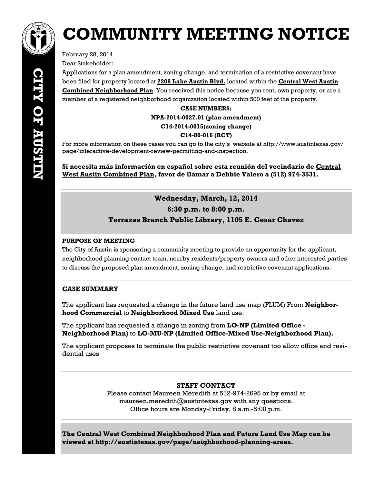

# **COMMUNITY MEETING NOTICE**

February 28, 2014 Dear Stakeholder:

Applications for a plan amendment, zoning change, and termination of a restrictive covenant have been filed for property located at **2208 Lake Austin Blvd.** located within the **Central West Austin Combined Neighborhood Plan**. You received this notice because you rent, own property, or are a member of a registered neighborhood organization located within 500 feet of the property.

**CASE NUMBERS:** 

#### **NPA-2014-0027.01 (plan amendment)**

#### **C14-2014-0015(zoning change)**

## **C14-80-016 (RCT)**

For more information on these cases you can go to the city's website at http://www.austintexas.gov/ page/interactive-development-review-permitting-and-inspection.

**Si necesita más información en español sobre esta reunión del vecindario de Central West Austin Combined Plan, favor de llamar a Debbie Valero a (512) 974-3531.** 

# **Wednesday, March, 12, 2014 6:30 p.m. to 8:00 p.m. Terrazas Branch Public Library, 1105 E. Cesar Chavez**

## **PURPOSE OF MEETING**

The City of Austin is sponsoring a community meeting to provide an opportunity for the applicant, neighborhood planning contact team, nearby residents/property owners and other interested parties to discuss the proposed plan amendment, zoning change, and restrictive covenant applications.

# **CASE SUMMARY**

The applicant has requested a change in the future land use map (FLUM) From **Neighborhood Commercial** to **Neighborhood Mixed Use** land use.

The applicant has requested a change in zoning from **LO-NP (Limited Office - Neighborhood Plan)** to **LO-MU-NP (Limited Office-Mixed Use-Neighborhood Plan).** 

The applicant proposes to terminate the public restrictive covenant too allow office and residential uses

# **STAFF CONTACT**

Please contact Maureen Meredith at 512-974-2695 or by email at maureen.meredith@austintexas.gov with any questions. Office hours are Monday-Friday, 8 a.m.-5:00 p.m.

**The Central West Combined Neighborhood Plan and Future Land Use Map can be viewed at http://austintexas.gov/page/neighborhood-planning-areas.**